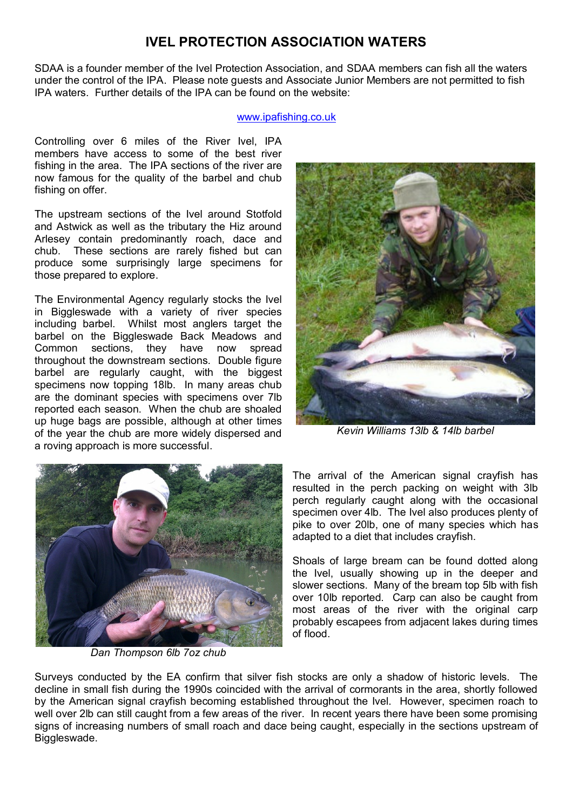# **IVEL PROTECTION ASSOCIATION WATERS**

SDAA is a founder member of the Ivel Protection Association, and SDAA members can fish all the waters under the control of the IPA. Please note guests and Associate Junior Members are not permitted to fish IPA waters. Further details of the IPA can be found on the website:

#### [www.ipafishing.co.uk](http://www.ipafishing.co.uk/)

Controlling over 6 miles of the River Ivel, IPA members have access to some of the best river fishing in the area. The IPA sections of the river are now famous for the quality of the barbel and chub fishing on offer.

The upstream sections of the Ivel around Stotfold and Astwick as well as the tributary the Hiz around Arlesey contain predominantly roach, dace and chub. These sections are rarely fished but can produce some surprisingly large specimens for those prepared to explore.

The Environmental Agency regularly stocks the Ivel in Biggleswade with a variety of river species including barbel. Whilst most anglers target the barbel on the Biggleswade Back Meadows and Common sections, they have now spread throughout the downstream sections. Double figure barbel are regularly caught, with the biggest specimens now topping 18lb. In many areas chub are the dominant species with specimens over 7lb reported each season. When the chub are shoaled up huge bags are possible, although at other times of the year the chub are more widely dispersed and a roving approach is more successful.



*Dan Thompson 6lb 7oz chub*



*Kevin Williams 13lb & 14lb barbel*

The arrival of the American signal crayfish has resulted in the perch packing on weight with 3lb perch regularly caught along with the occasional specimen over 4lb. The Ivel also produces plenty of pike to over 20lb, one of many species which has adapted to a diet that includes crayfish.

Shoals of large bream can be found dotted along the Ivel, usually showing up in the deeper and slower sections. Many of the bream top 5lb with fish over 10lb reported. Carp can also be caught from most areas of the river with the original carp probably escapees from adjacent lakes during times of flood.

Surveys conducted by the EA confirm that silver fish stocks are only a shadow of historic levels. The decline in small fish during the 1990s coincided with the arrival of cormorants in the area, shortly followed by the American signal crayfish becoming established throughout the Ivel. However, specimen roach to well over 2lb can still caught from a few areas of the river. In recent years there have been some promising signs of increasing numbers of small roach and dace being caught, especially in the sections upstream of Biggleswade.